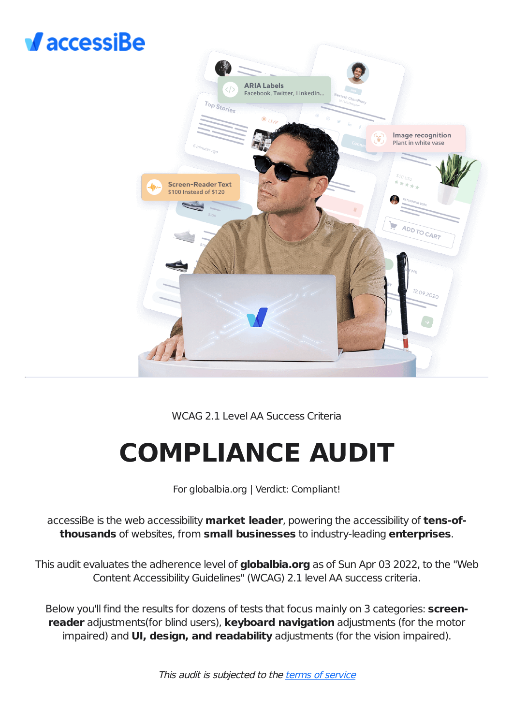## $\sqrt{$  accessiBe



## WCAG 2.1 Level AA Success Criteria

# **COMPLIANCE AUDIT**

For globalbia.org | Verdict: Compliant!

accessiBe is the web accessibility **market leader**, powering the accessibility of **tens-ofthousands** of websites, from **small businesses** to industry-leading **enterprises**.

This audit evaluates the adherence level of **globalbia.org** as of Sun Apr 03 2022, to the "Web Content Accessibility Guidelines" (WCAG) 2.1 level AA success criteria.

Below you'll find the results for dozens of tests that focus mainly on 3 categories: **screenreader** adjustments(for blind users), **keyboard navigation** adjustments (for the motor impaired) and **UI, design, and readability** adjustments (for the vision impaired).

This audit is subjected to the terms of [service](https://accessibe.com/terms-of-service)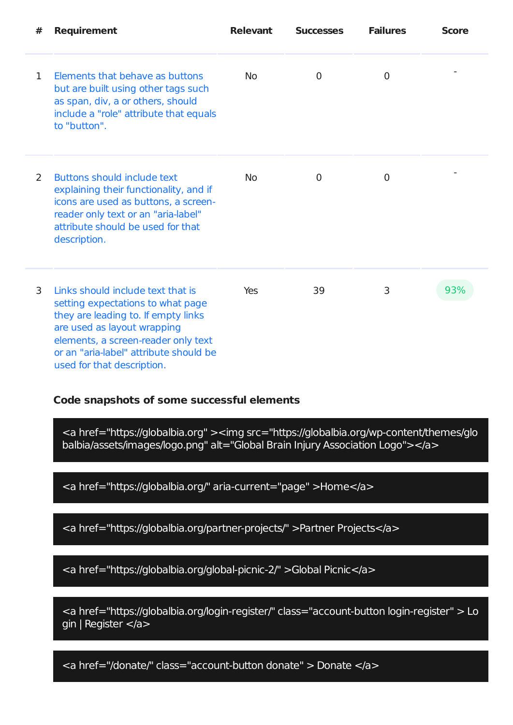| # | <b>Requirement</b>                                                                                                                                                                                                                                          | <b>Relevant</b> | <b>Successes</b> | <b>Failures</b> | <b>Score</b> |
|---|-------------------------------------------------------------------------------------------------------------------------------------------------------------------------------------------------------------------------------------------------------------|-----------------|------------------|-----------------|--------------|
| 1 | Elements that behave as buttons<br>but are built using other tags such<br>as span, div, a or others, should<br>include a "role" attribute that equals<br>to "button".                                                                                       | <b>No</b>       | $\Omega$         | 0               |              |
| 2 | Buttons should include text<br>explaining their functionality, and if<br>icons are used as buttons, a screen-<br>reader only text or an "aria-label"<br>attribute should be used for that<br>description.                                                   | <b>No</b>       | 0                | $\Omega$        |              |
| 3 | Links should include text that is<br>setting expectations to what page<br>they are leading to. If empty links<br>are used as layout wrapping<br>elements, a screen-reader only text<br>or an "aria-label" attribute should be<br>used for that description. | Yes             | 39               | 3               | 93%          |

## **Code snapshots of some successful elements**

<a href="https://globalbia.org" ><img src="https://globalbia.org/wp-content/themes/glo balbia/assets/images/logo.png" alt="Global Brain Injury Association Logo"></a>

<a href="https://globalbia.org/" aria-current="page" >Home</a>

<a href="https://globalbia.org/partner-projects/" >Partner Projects</a>

<a href="https://globalbia.org/global-picnic-2/" >Global Picnic</a>

<a href="https://globalbia.org/login-register/" class="account-button login-register" > Lo gin | Register </a>

<a href="/donate/" class="account-button donate" > Donate </a>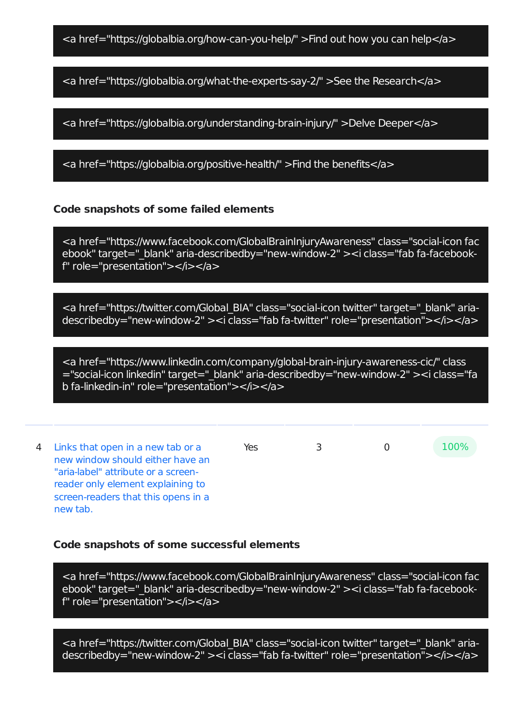<a href="https://globalbia.org/how-can-you-help/" >Find out how you can help</a>

<a href="https://globalbia.org/what-the-experts-say-2/" >See the Research</a>

<a href="https://globalbia.org/understanding-brain-injury/" >Delve Deeper</a>

<a href="https://globalbia.org/positive-health/" >Find the benefits</a>

## **Code snapshots of some failed elements**

<a href="https://www.facebook.com/GlobalBrainInjuryAwareness" class="social-icon fac ebook" target=" blank" aria-describedby="new-window-2" > <i class="fab fa-facebookf" role="presentation"></i></a>

<a href="https://twitter.com/Global\_BIA" class="social-icon twitter" target="\_blank" ariadescribedby="new-window-2" ><i class="fab fa-twitter" role="presentation"></i></a>

<a href="https://www.linkedin.com/company/global-brain-injury-awareness-cic/" class ="social-icon linkedin" target=" blank" aria-describedby="new-window-2" ><i class="fa b fa-linkedin-in" role="presentation"></i></a>

4 Links that open in a new tab or a new window should either have an "aria-label" attribute or a screenreader only element explaining to screen-readers that this opens in a new tab. Yes 3 0 100%

#### **Code snapshots of some successful elements**

<a href="https://www.facebook.com/GlobalBrainInjuryAwareness" class="social-icon fac ebook" target=" blank" aria-describedby="new-window-2" > <i class="fab fa-facebookf" role="presentation"></i></a>

<a href="https://twitter.com/Global\_BIA" class="social-icon twitter" target="\_blank" ariadescribedby="new-window-2" ><i class="fab fa-twitter" role="presentation<sup>"</sup>></i></a>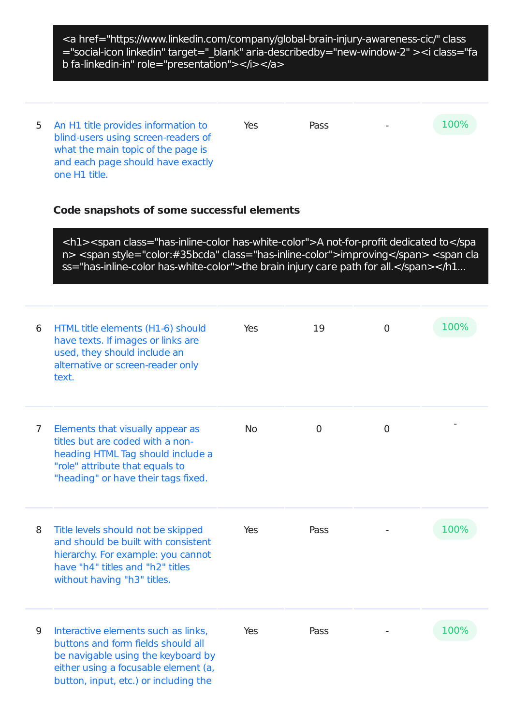<a href="https://www.linkedin.com/company/global-brain-injury-awareness-cic/" class ="social-icon linkedin" target="\_blank" aria-describedby="new-window-2" ><i class="fa b fa-linkedin-in" role="presentation"></i></a>

5 An H1 title provides information to blind-users using screen-readers of what the main topic of the page is and each page should have exactly one H1 title. Yes Pass - 100%

## **Code snapshots of some successful elements**

<h1><span class="has-inline-color has-white-color">A not-for-profit dedicated to</spa n> <span style="color:#35bcda" class="has-inline-color">improving</span> <span cla ss="has-inline-color has-white-color">the brain injury care path for all.</span></h1...

| 6              | HTML title elements (H1-6) should<br>have texts. If images or links are<br>used, they should include an<br>alternative or screen-reader only<br>text.                                            | Yes       | 19             | $\overline{0}$ | 100% |
|----------------|--------------------------------------------------------------------------------------------------------------------------------------------------------------------------------------------------|-----------|----------------|----------------|------|
| $\overline{7}$ | Elements that visually appear as<br>titles but are coded with a non-<br>heading HTML Tag should include a<br>"role" attribute that equals to<br>"heading" or have their tags fixed.              | <b>No</b> | $\overline{0}$ | $\mathbf 0$    |      |
| 8              | Title levels should not be skipped<br>and should be built with consistent<br>hierarchy. For example: you cannot<br>have "h4" titles and "h2" titles<br>without having "h3" titles.               | Yes       | Pass           |                | 100% |
| 9              | Interactive elements such as links,<br>buttons and form fields should all<br>be navigable using the keyboard by<br>either using a focusable element (a,<br>button, input, etc.) or including the | Yes       | Pass           |                | 100% |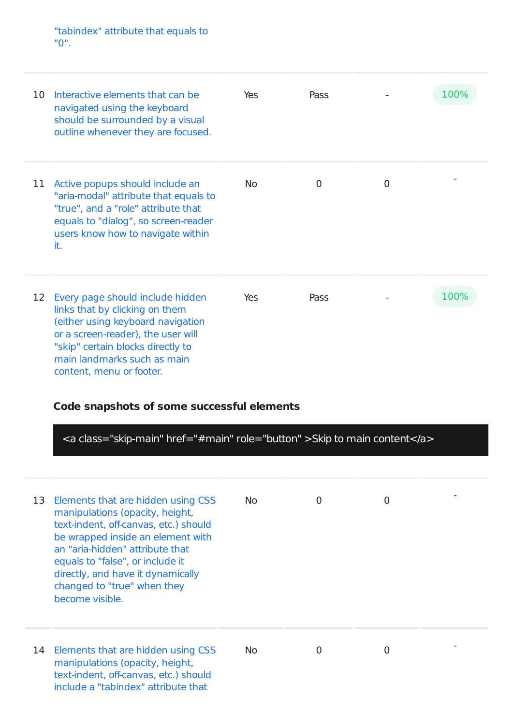"tabindex" attribute that equals to "0".

| 10 | Interactive elements that can be<br>navigated using the keyboard<br>should be surrounded by a visual<br>outline whenever they are focused.                                                                                                                                                  | Yes | Pass           |                | 100% |
|----|---------------------------------------------------------------------------------------------------------------------------------------------------------------------------------------------------------------------------------------------------------------------------------------------|-----|----------------|----------------|------|
| 11 | Active popups should include an<br>"aria-modal" attribute that equals to<br>"true", and a "role" attribute that<br>equals to "dialog", so screen-reader<br>users know how to navigate within<br>it.                                                                                         | No. | $\overline{0}$ | $\overline{0}$ |      |
| 12 | Every page should include hidden<br>links that by clicking on them<br>(either using keyboard navigation<br>or a screen-reader), the user will<br>"skip" certain blocks directly to<br>main landmarks such as main<br>content, menu or footer.<br>Code snapshots of some successful elements | Yes | Pass           |                | 100% |

<a class="skip-main" href="#main" role="button" >Skip to main content</a>

| 13 | Elements that are hidden using CSS<br>manipulations (opacity, height,<br>text-indent, off-canvas, etc.) should<br>be wrapped inside an element with<br>an "aria-hidden" attribute that<br>equals to "false", or include it<br>directly, and have it dynamically<br>changed to "true" when they<br>become visible. | No. | 0 | 0 |  |
|----|-------------------------------------------------------------------------------------------------------------------------------------------------------------------------------------------------------------------------------------------------------------------------------------------------------------------|-----|---|---|--|
| 14 | Elements that are hidden using CSS<br>manipulations (opacity, height,<br>text-indent, off-canvas, etc.) should<br>include a "tabindex" attribute that                                                                                                                                                             | No. | 0 | O |  |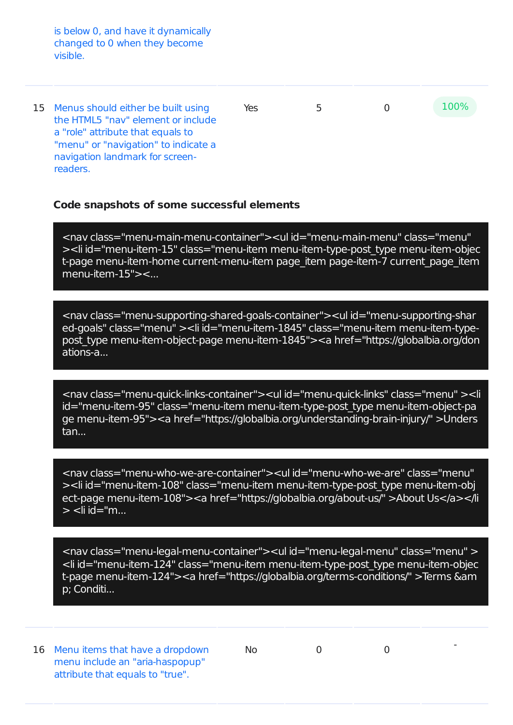is below 0, and have it dynamically changed to 0 when they become visible.

15 Menus should either be built using the HTML5 "nav" element or include a "role" attribute that equals to "menu" or "navigation" to indicate a navigation landmark for screenreaders. Yes 5 0 100%

## **Code snapshots of some successful elements**

<nav class="menu-main-menu-container"><ul id="menu-main-menu" class="menu" ><li id="menu-item-15" class="menu-item menu-item-type-post\_type menu-item-objec t-page menu-item-home current-menu-item page item page-item-7 current page item menu-item-15"><...

<nav class="menu-supporting-shared-goals-container"><ul id="menu-supporting-shar ed-goals" class="menu" ><li id="menu-item-1845" class="menu-item menu-item-typepost\_type menu-item-object-page menu-item-1845"><a href="https://globalbia.org/don ations-a...

<nav class="menu-quick-links-container"><ul id="menu-quick-links" class="menu" ><li id="menu-item-95" class="menu-item menu-item-type-post\_type menu-item-object-pa ge menu-item-95"><a href="https://globalbia.org/understanding-brain-injury/" >Unders tan...

<nav class="menu-who-we-are-container"><ul id="menu-who-we-are" class="menu" ><li id="menu-item-108" class="menu-item menu-item-type-post\_type menu-item-obj ect-page menu-item-108"><a href="https://globalbia.org/about-us/" >About Us</a></li  $>$  <li id="m...

<nav class="menu-legal-menu-container"><ul id="menu-legal-menu" class="menu" > <li id="menu-item-124" class="menu-item menu-item-type-post\_type menu-item-objec t-page menu-item-124"><a href="https://globalbia.org/terms-conditions/" >Terms &am p; Conditi...

16 Menu items that have a dropdown menu include an "aria-haspopup" attribute that equals to "true".

No 0 0

-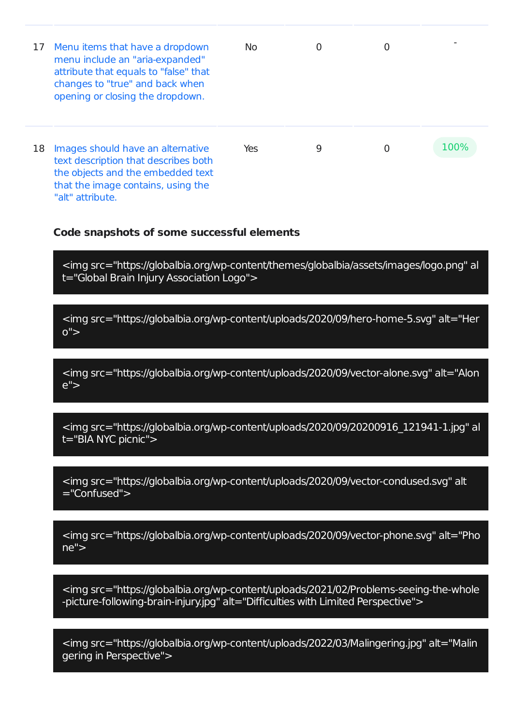| 17 | Menu items that have a dropdown<br>menu include an "aria-expanded"<br>attribute that equals to "false" that<br>changes to "true" and back when<br>opening or closing the dropdown. | No. | 0 | 0 |      |
|----|------------------------------------------------------------------------------------------------------------------------------------------------------------------------------------|-----|---|---|------|
| 18 | Images should have an alternative<br>text description that describes both<br>the objects and the embedded text<br>that the image contains, using the<br>"alt" attribute.           | Yes | 9 | 0 | 100% |

#### **Code snapshots of some successful elements**

<img src="https://globalbia.org/wp-content/themes/globalbia/assets/images/logo.png" al t="Global Brain Injury Association Logo">

<img src="https://globalbia.org/wp-content/uploads/2020/09/hero-home-5.svg" alt="Her  $0"$ 

<img src="https://globalbia.org/wp-content/uploads/2020/09/vector-alone.svg" alt="Alon e">

<img src="https://globalbia.org/wp-content/uploads/2020/09/20200916\_121941-1.jpg" al t="BIA NYC picnic">

<img src="https://globalbia.org/wp-content/uploads/2020/09/vector-condused.svg" alt ="Confused">

<img src="https://globalbia.org/wp-content/uploads/2020/09/vector-phone.svg" alt="Pho ne">

<img src="https://globalbia.org/wp-content/uploads/2021/02/Problems-seeing-the-whole -picture-following-brain-injury.jpg" alt="Difficulties with Limited Perspective">

<img src="https://globalbia.org/wp-content/uploads/2022/03/Malingering.jpg" alt="Malin gering in Perspective">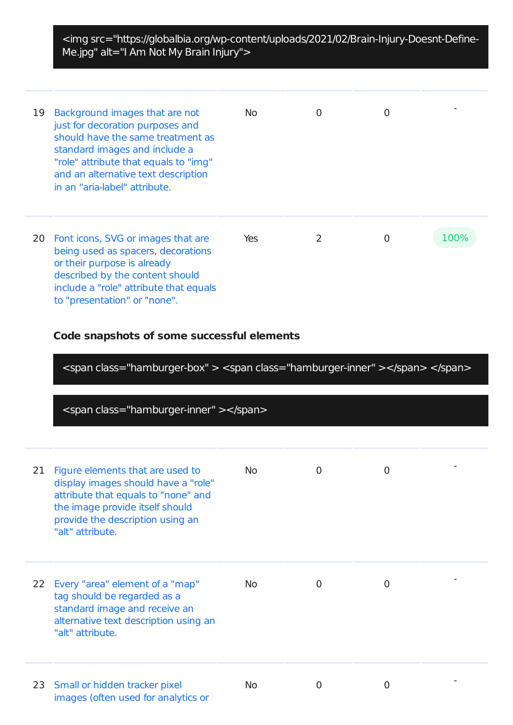<img src="https://globalbia.org/wp-content/uploads/2021/02/Brain-Injury-Doesnt-Define-Me.jpg" alt="I Am Not My Brain Injury">

| 19 | Background images that are not<br>just for decoration purposes and<br>should have the same treatment as<br>standard images and include a<br>"role" attribute that equals to "img"<br>and an alternative text description<br>in an "aria-label" attribute. | No. | ∩ | 0 |      |
|----|-----------------------------------------------------------------------------------------------------------------------------------------------------------------------------------------------------------------------------------------------------------|-----|---|---|------|
| 20 | Font icons, SVG or images that are<br>being used as spacers, decorations<br>or their purpose is already<br>described by the content should<br>include a "role" attribute that equals<br>to "presentation" or "none".                                      | Yes | 2 | O | 100% |

## **Code snapshots of some successful elements**

<span class="hamburger-box" > <span class="hamburger-inner" ></span> </span>

<span class="hamburger-inner" ></span>

| 21 | Figure elements that are used to<br>display images should have a "role"<br>attribute that equals to "none" and<br>the image provide itself should<br>provide the description using an<br>"alt" attribute. | No.       | 0 | $\overline{0}$ |  |
|----|-----------------------------------------------------------------------------------------------------------------------------------------------------------------------------------------------------------|-----------|---|----------------|--|
| 22 | Every "area" element of a "map"<br>tag should be regarded as a<br>standard image and receive an<br>alternative text description using an<br>"alt" attribute.                                              | <b>No</b> | 0 | $\Omega$       |  |
|    | 23 Small or hidden tracker pixel<br>images (often used for analytics or                                                                                                                                   | <b>No</b> | 0 | 0              |  |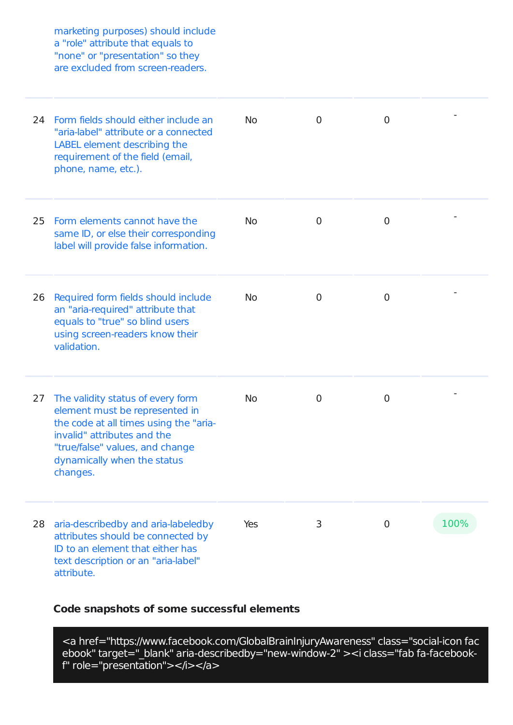marketing purposes) should include a "role" attribute that equals to "none" or "presentation" so they are excluded from screen-readers.

| 24 | Form fields should either include an<br>"aria-label" attribute or a connected<br>LABEL element describing the<br>requirement of the field (email,<br>phone, name, etc.).                                                   | <b>No</b> | 0              | $\overline{0}$ |      |
|----|----------------------------------------------------------------------------------------------------------------------------------------------------------------------------------------------------------------------------|-----------|----------------|----------------|------|
| 25 | Form elements cannot have the<br>same ID, or else their corresponding<br>label will provide false information.                                                                                                             | <b>No</b> | $\overline{0}$ | $\overline{0}$ |      |
| 26 | Required form fields should include<br>an "aria-required" attribute that<br>equals to "true" so blind users<br>using screen-readers know their<br>validation.                                                              | <b>No</b> | $\mathbf 0$    | 0              |      |
| 27 | The validity status of every form<br>element must be represented in<br>the code at all times using the "aria-<br>invalid" attributes and the<br>"true/false" values, and change<br>dynamically when the status<br>changes. | <b>No</b> | $\mathbf 0$    | $\overline{0}$ |      |
| 28 | aria-describedby and aria-labeledby<br>attributes should be connected by<br>ID to an element that either has<br>text description or an "aria-label"<br>attribute.                                                          | Yes       | 3              | $\overline{0}$ | 100% |

## **Code snapshots of some successful elements**

<a href="https://www.facebook.com/GlobalBrainInjuryAwareness" class="social-icon fac ebook" target="\_blank" aria-describedby="new-window-2" ><i class="fab fa-facebookf" role="presentation"></i></a>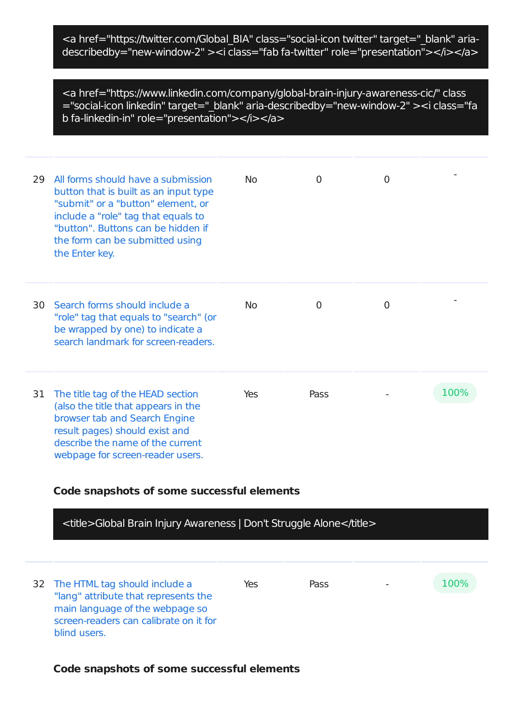<a href="https://twitter.com/Global\_BIA" class="social-icon twitter" target="\_blank" ariadescribedby="new-window-2" ><i class="fab fa-twitter" role="presentation"></i></a>

<a href="https://www.linkedin.com/company/global-brain-injury-awareness-cic/" class ="social-icon linkedin" target="\_blank" aria-describedby="new-window-2" ><i class="fa b fa-linkedin-in" role="presentation"></i></a>

| 29 | All forms should have a submission<br>button that is built as an input type<br>"submit" or a "button" element, or<br>include a "role" tag that equals to<br>"button". Buttons can be hidden if<br>the form can be submitted using<br>the Enter key. | <b>No</b>  | 0    | $\overline{0}$ |      |
|----|-----------------------------------------------------------------------------------------------------------------------------------------------------------------------------------------------------------------------------------------------------|------------|------|----------------|------|
| 30 | Search forms should include a<br>"role" tag that equals to "search" (or<br>be wrapped by one) to indicate a<br>search landmark for screen-readers.                                                                                                  | No.        | 0    | $\overline{0}$ |      |
| 31 | The title tag of the HEAD section<br>(also the title that appears in the<br>browser tab and Search Engine<br>result pages) should exist and<br>describe the name of the current<br>webpage for screen-reader users.                                 | <b>Yes</b> | Pass |                | 100% |

## **Code snapshots of some successful elements**

| <title>Global Brain Injury Awareness   Don't Struggle Alone</title>                                                                                                   |     |      |             |
|-----------------------------------------------------------------------------------------------------------------------------------------------------------------------|-----|------|-------------|
| 32 The HTML tag should include a<br>"lang" attribute that represents the<br>main language of the webpage so<br>screen-readers can calibrate on it for<br>blind users. | Yes | Pass | <b>100%</b> |

#### **Code snapshots of some successful elements**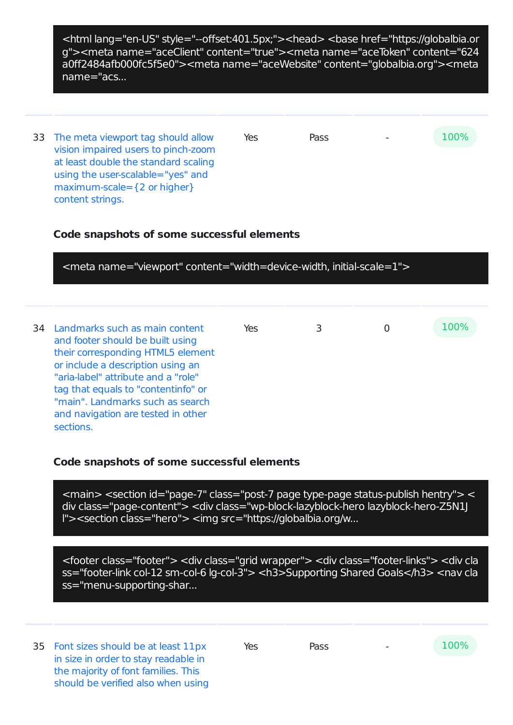<html lang="en-US" style="--offset:401.5px;"><head> <base href="https://globalbia.or g"><meta name="aceClient" content="true"><meta name="aceToken" content="624 a0ff2484afb000fc5f5e0"><meta name="aceWebsite" content="globalbia.org"><meta name="acs...

33 The meta viewport tag should allow vision impaired users to pinch-zoom at least double the standard scaling using the user-scalable="yes" and maximum-scale={2 or higher} content strings.  $Yes$  Pass  $-100\%$ 

## **Code snapshots of some successful elements**

<meta name="viewport" content="width=device-width, initial-scale=1"> 34 Landmarks such as main content and footer should be built using their corresponding HTML5 element or include a description using an "aria-label" attribute and a "role" tag that equals to "contentinfo" or "main". Landmarks such as search and navigation are tested in other sections. Yes 3 0 100%

## **Code snapshots of some successful elements**

<main> <section id="page-7" class="post-7 page type-page status-publish hentry"> < div class="page-content"> <div class="wp-block-lazyblock-hero lazyblock-hero-Z5N1J l"><section class="hero"> <img src="https://globalbia.org/w...

<footer class="footer"> <div class="grid wrapper"> <div class="footer-links"> <div cla ss="footer-link col-12 sm-col-6 lg-col-3"> <h3>Supporting Shared Goals</h3> <nav cla ss="menu-supporting-shar...

35 Font sizes should be at least 11px in size in order to stay readable in the majority of font families. This should be verified also when using

Yes Pass - 100%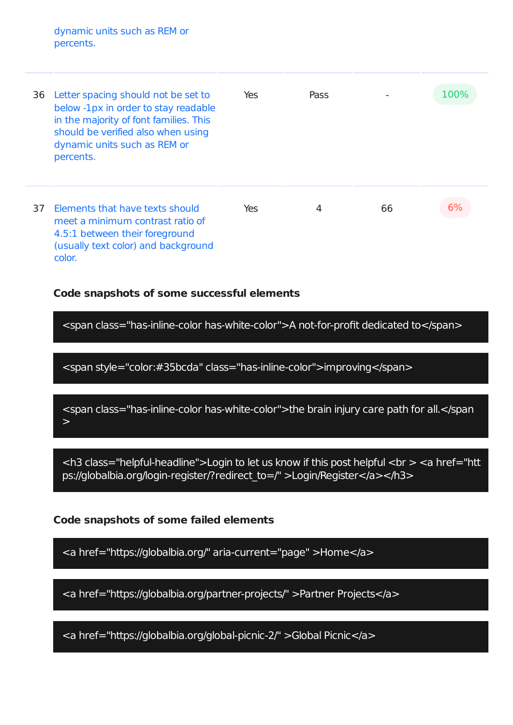dynamic units such as REM or percents.

| 36 | Letter spacing should not be set to<br>below -1px in order to stay readable<br>in the majority of font families. This<br>should be verified also when using<br>dynamic units such as REM or<br>percents. | Yes | Pass |    | 100% |
|----|----------------------------------------------------------------------------------------------------------------------------------------------------------------------------------------------------------|-----|------|----|------|
| 37 | Elements that have texts should<br>meet a minimum contrast ratio of<br>4.5:1 between their foreground<br>(usually text color) and background<br>color.                                                   | Yes | 4    | 66 |      |

## **Code snapshots of some successful elements**

<span class="has-inline-color has-white-color">A not-for-profit dedicated to</span>

<span style="color:#35bcda" class="has-inline-color">improving</span>

<span class="has-inline-color has-white-color">the brain injury care path for all.</span  $\geq$ 

 $<$ h3 class="helpful-headline">Login to let us know if this post helpful  $<$ br  $>$   $<$ a href="htt ps://globalbia.org/login-register/?redirect\_to=/" >Login/Register</a></h3>

## **Code snapshots of some failed elements**

<a href="https://globalbia.org/" aria-current="page" >Home</a>

<a href="https://globalbia.org/partner-projects/" >Partner Projects</a>

<a href="https://globalbia.org/global-picnic-2/" >Global Picnic</a>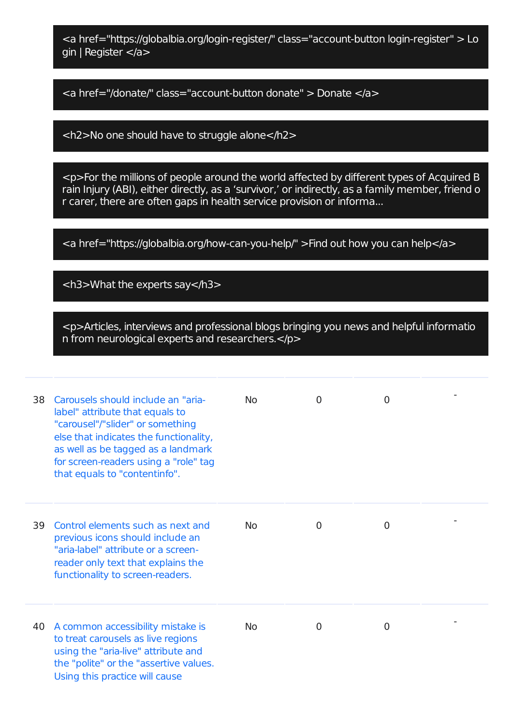<a href="https://globalbia.org/login-register/" class="account-button login-register" > Lo gin | Register </a>

<a href="/donate/" class="account-button donate" > Donate </a>

<h2>No one should have to struggle alone</h2>

<p>For the millions of people around the world affected by different types of Acquired B rain Injury (ABI), either directly, as a 'survivor,' or indirectly, as a family member, friend o r carer, there are often gaps in health service provision or informa...

<a href="https://globalbia.org/how-can-you-help/" >Find out how you can help</a>

<h3>What the experts say</h3>

<p>Articles, interviews and professional blogs bringing you news and helpful informatio n from neurological experts and researchers.</p>

| 38 | Carousels should include an "aria-<br>label" attribute that equals to<br>"carousel"/"slider" or something<br>else that indicates the functionality,<br>as well as be tagged as a landmark<br>for screen-readers using a "role" tag<br>that equals to "contentinfo". | N <sub>0</sub> | 0        | $\overline{0}$ |  |
|----|---------------------------------------------------------------------------------------------------------------------------------------------------------------------------------------------------------------------------------------------------------------------|----------------|----------|----------------|--|
| 39 | Control elements such as next and<br>previous icons should include an<br>"aria-label" attribute or a screen-<br>reader only text that explains the<br>functionality to screen-readers.                                                                              | <b>No</b>      | $\Omega$ | 0              |  |
| 40 | A common accessibility mistake is<br>to treat carousels as live regions<br>using the "aria-live" attribute and<br>the "polite" or the "assertive values.<br>Using this practice will cause                                                                          | <b>No</b>      | 0        | 0              |  |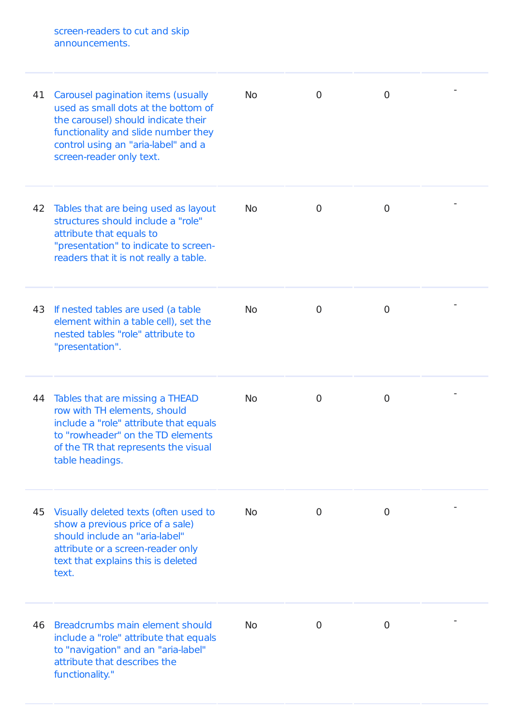screen-readers to cut and skip announcements.

| 41 | Carousel pagination items (usually<br>used as small dots at the bottom of<br>the carousel) should indicate their<br>functionality and slide number they<br>control using an "aria-label" and a<br>screen-reader only text. | <b>No</b> | 0 | $\overline{0}$ |  |
|----|----------------------------------------------------------------------------------------------------------------------------------------------------------------------------------------------------------------------------|-----------|---|----------------|--|
| 42 | Tables that are being used as layout<br>structures should include a "role"<br>attribute that equals to<br>"presentation" to indicate to screen-<br>readers that it is not really a table.                                  | <b>No</b> | 0 | 0              |  |
|    | 43 If nested tables are used (a table<br>element within a table cell), set the<br>nested tables "role" attribute to<br>"presentation".                                                                                     | <b>No</b> | 0 | $\overline{0}$ |  |
| 44 | Tables that are missing a THEAD<br>row with TH elements, should<br>include a "role" attribute that equals<br>to "rowheader" on the TD elements<br>of the TR that represents the visual<br>table headings.                  | <b>No</b> | 0 | 0              |  |
| 45 | Visually deleted texts (often used to<br>show a previous price of a sale)<br>should include an "aria-label"<br>attribute or a screen-reader only<br>text that explains this is deleted<br>text.                            | <b>No</b> | 0 | 0              |  |
| 46 | Breadcrumbs main element should<br>include a "role" attribute that equals<br>to "navigation" and an "aria-label"<br>attribute that describes the<br>functionality."                                                        | <b>No</b> | 0 | 0              |  |